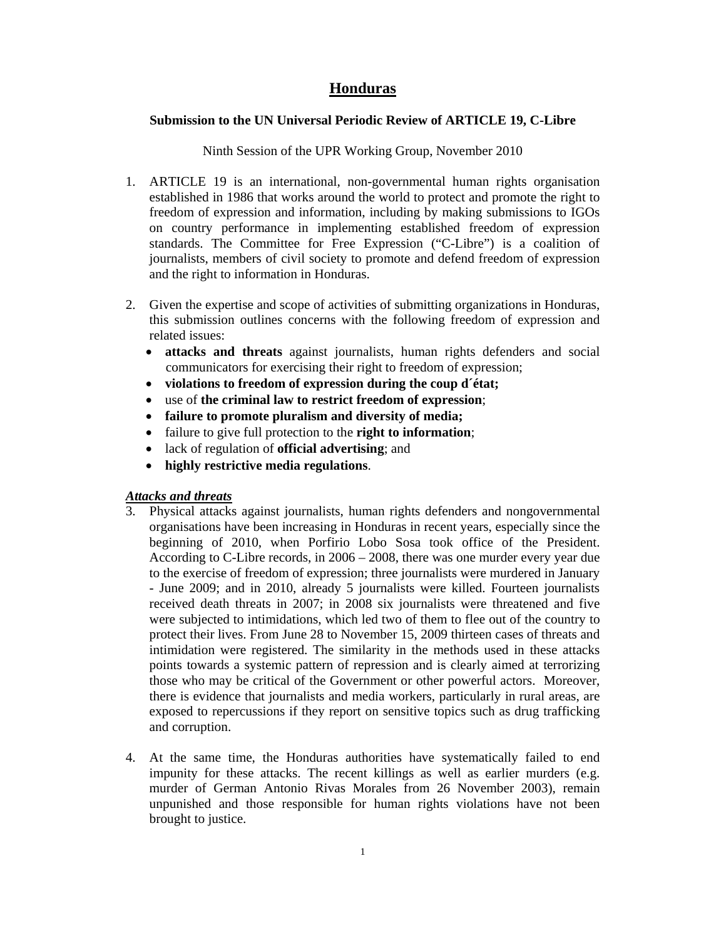# **Honduras**

## **Submission to the UN Universal Periodic Review of ARTICLE 19, C-Libre**

## Ninth Session of the UPR Working Group, November 2010

- 1. ARTICLE 19 is an international, non-governmental human rights organisation established in 1986 that works around the world to protect and promote the right to freedom of expression and information, including by making submissions to IGOs on country performance in implementing established freedom of expression standards. The Committee for Free Expression ("C-Libre") is a coalition of journalists, members of civil society to promote and defend freedom of expression and the right to information in Honduras.
- 2. Given the expertise and scope of activities of submitting organizations in Honduras, this submission outlines concerns with the following freedom of expression and related issues:
	- **attacks and threats** against journalists, human rights defenders and social communicators for exercising their right to freedom of expression;
	- **violations to freedom of expression during the coup d´état;**
	- use of **the criminal law to restrict freedom of expression**;
	- **failure to promote pluralism and diversity of media;**
	- failure to give full protection to the **right to information**;
	- lack of regulation of **official advertising**; and
	- **highly restrictive media regulations**.

# *Attacks and threats*

- 3. Physical attacks against journalists, human rights defenders and nongovernmental organisations have been increasing in Honduras in recent years, especially since the beginning of 2010, when Porfirio Lobo Sosa took office of the President. According to C-Libre records, in 2006 – 2008, there was one murder every year due to the exercise of freedom of expression; three journalists were murdered in January - June 2009; and in 2010, already 5 journalists were killed. Fourteen journalists received death threats in 2007; in 2008 six journalists were threatened and five were subjected to intimidations, which led two of them to flee out of the country to protect their lives. From June 28 to November 15, 2009 thirteen cases of threats and intimidation were registered. The similarity in the methods used in these attacks points towards a systemic pattern of repression and is clearly aimed at terrorizing those who may be critical of the Government or other powerful actors. Moreover, there is evidence that journalists and media workers, particularly in rural areas, are exposed to repercussions if they report on sensitive topics such as drug trafficking and corruption.
- 4. At the same time, the Honduras authorities have systematically failed to end impunity for these attacks. The recent killings as well as earlier murders (e.g. murder of German Antonio Rivas Morales from 26 November 2003), remain unpunished and those responsible for human rights violations have not been brought to justice.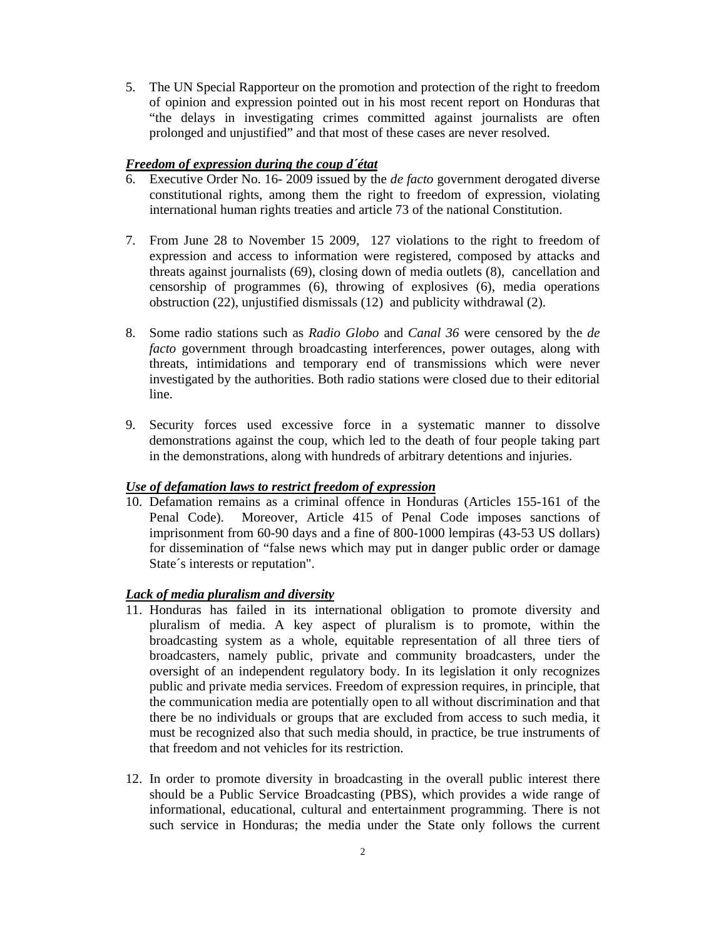5. The UN Special Rapporteur on the promotion and protection of the right to freedom of opinion and expression pointed out in his most recent report on Honduras that "the delays in investigating crimes committed against journalists are often prolonged and unjustified" and that most of these cases are never resolved.

## *Freedom of expression during the coup d´état*

- 6. Executive Order No. 16- 2009 issued by the *de facto* government derogated diverse constitutional rights, among them the right to freedom of expression, violating international human rights treaties and article 73 of the national Constitution.
- 7. From June 28 to November 15 2009, 127 violations to the right to freedom of expression and access to information were registered, composed by attacks and threats against journalists (69), closing down of media outlets (8), cancellation and censorship of programmes (6), throwing of explosives (6), media operations obstruction (22), unjustified dismissals (12) and publicity withdrawal (2).
- 8. Some radio stations such as *Radio Globo* and *Canal 36* were censored by the *de facto* government through broadcasting interferences, power outages, along with threats, intimidations and temporary end of transmissions which were never investigated by the authorities. Both radio stations were closed due to their editorial line.
- 9. Security forces used excessive force in a systematic manner to dissolve demonstrations against the coup, which led to the death of four people taking part in the demonstrations, along with hundreds of arbitrary detentions and injuries.

## *Use of defamation laws to restrict freedom of expression*

10. Defamation remains as a criminal offence in Honduras (Articles 155-161 of the Penal Code). Moreover, Article 415 of Penal Code imposes sanctions of imprisonment from 60-90 days and a fine of 800-1000 lempiras (43-53 US dollars) for dissemination of "false news which may put in danger public order or damage State´s interests or reputation".

### *Lack of media pluralism and diversity*

- 11. Honduras has failed in its international obligation to promote diversity and pluralism of media. A key aspect of pluralism is to promote, within the broadcasting system as a whole, equitable representation of all three tiers of broadcasters, namely public, private and community broadcasters, under the oversight of an independent regulatory body. In its legislation it only recognizes public and private media services. Freedom of expression requires, in principle, that the communication media are potentially open to all without discrimination and that there be no individuals or groups that are excluded from access to such media, it must be recognized also that such media should, in practice, be true instruments of that freedom and not vehicles for its restriction.
- 12. In order to promote diversity in broadcasting in the overall public interest there should be a Public Service Broadcasting (PBS), which provides a wide range of informational, educational, cultural and entertainment programming. There is not such service in Honduras; the media under the State only follows the current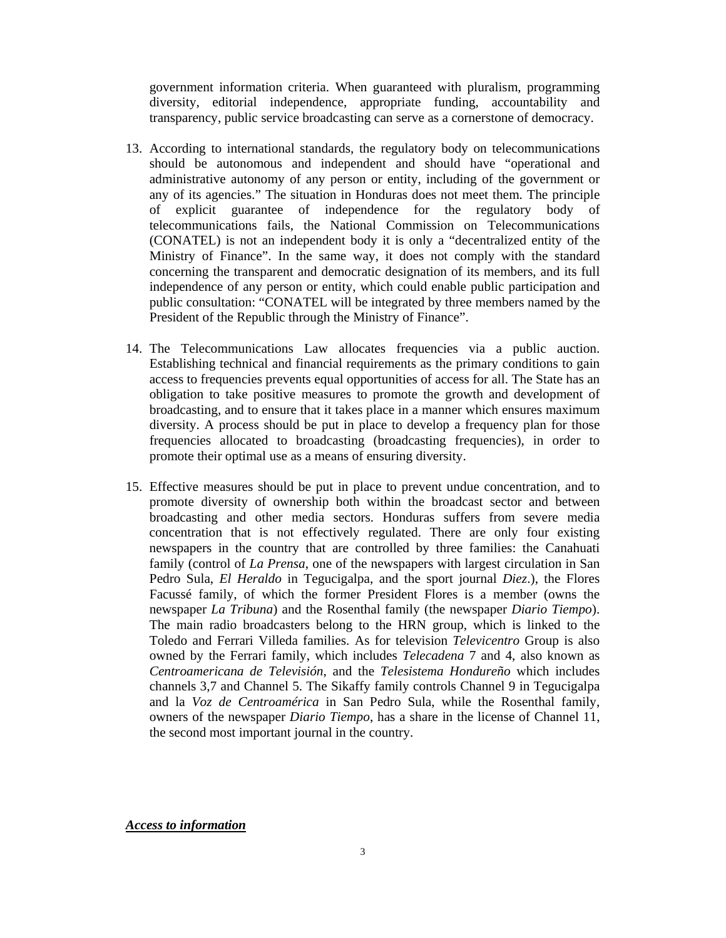government information criteria. When guaranteed with pluralism, programming diversity, editorial independence, appropriate funding, accountability and transparency, public service broadcasting can serve as a cornerstone of democracy.

- 13. According to international standards, the regulatory body on telecommunications should be autonomous and independent and should have "operational and administrative autonomy of any person or entity, including of the government or any of its agencies." The situation in Honduras does not meet them. The principle of explicit guarantee of independence for the regulatory body of telecommunications fails, the National Commission on Telecommunications (CONATEL) is not an independent body it is only a "decentralized entity of the Ministry of Finance". In the same way, it does not comply with the standard concerning the transparent and democratic designation of its members, and its full independence of any person or entity, which could enable public participation and public consultation: "CONATEL will be integrated by three members named by the President of the Republic through the Ministry of Finance".
- 14. The Telecommunications Law allocates frequencies via a public auction. Establishing technical and financial requirements as the primary conditions to gain access to frequencies prevents equal opportunities of access for all. The State has an obligation to take positive measures to promote the growth and development of broadcasting, and to ensure that it takes place in a manner which ensures maximum diversity. A process should be put in place to develop a frequency plan for those frequencies allocated to broadcasting (broadcasting frequencies), in order to promote their optimal use as a means of ensuring diversity.
- 15. Effective measures should be put in place to prevent undue concentration, and to promote diversity of ownership both within the broadcast sector and between broadcasting and other media sectors. Honduras suffers from severe media concentration that is not effectively regulated. There are only four existing newspapers in the country that are controlled by three families: the Canahuati family (control of *La Prensa*, one of the newspapers with largest circulation in San Pedro Sula, *El Heraldo* in Tegucigalpa, and the sport journal *Diez*.), the Flores Facussé family, of which the former President Flores is a member (owns the newspaper *La Tribuna*) and the Rosenthal family (the newspaper *Diario Tiempo*). The main radio broadcasters belong to the HRN group, which is linked to the Toledo and Ferrari Villeda families. As for television *Televicentro* Group is also owned by the Ferrari family, which includes *Telecadena* 7 and 4, also known as *Centroamericana de Televisión*, and the *Telesistema Hondureño* which includes channels 3,7 and Channel 5. The Sikaffy family controls Channel 9 in Tegucigalpa and la *Voz de Centroamérica* in San Pedro Sula, while the Rosenthal family, owners of the newspaper *Diario Tiempo*, has a share in the license of Channel 11, the second most important journal in the country.

*Access to information*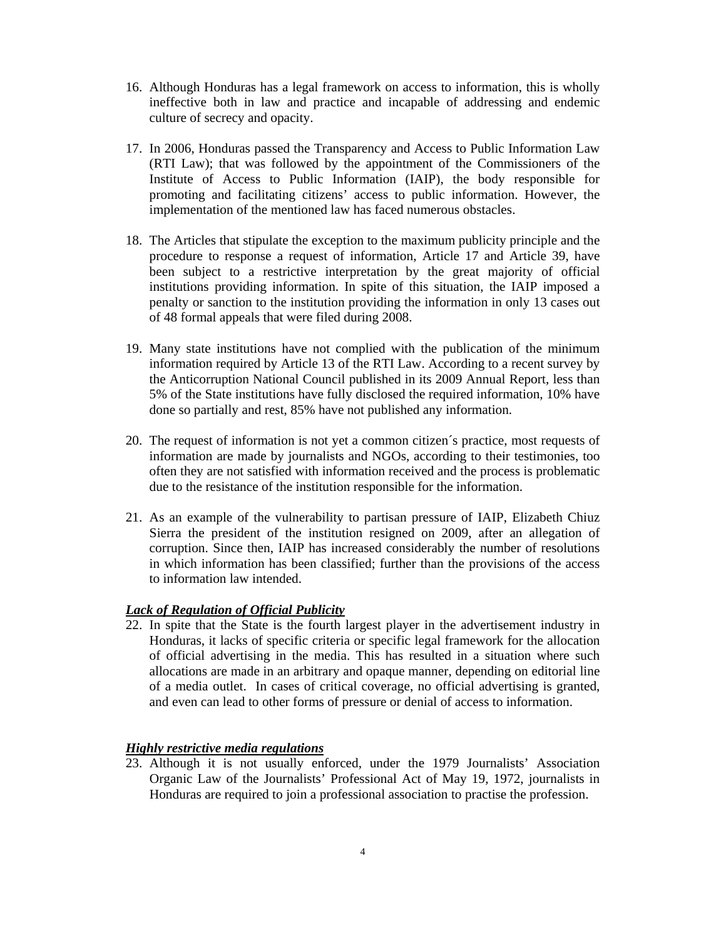- 16. Although Honduras has a legal framework on access to information, this is wholly ineffective both in law and practice and incapable of addressing and endemic culture of secrecy and opacity.
- 17. In 2006, Honduras passed the Transparency and Access to Public Information Law (RTI Law); that was followed by the appointment of the Commissioners of the Institute of Access to Public Information (IAIP), the body responsible for promoting and facilitating citizens' access to public information. However, the implementation of the mentioned law has faced numerous obstacles.
- 18. The Articles that stipulate the exception to the maximum publicity principle and the procedure to response a request of information, Article 17 and Article 39, have been subject to a restrictive interpretation by the great majority of official institutions providing information. In spite of this situation, the IAIP imposed a penalty or sanction to the institution providing the information in only 13 cases out of 48 formal appeals that were filed during 2008.
- 19. Many state institutions have not complied with the publication of the minimum information required by Article 13 of the RTI Law. According to a recent survey by the Anticorruption National Council published in its 2009 Annual Report, less than 5% of the State institutions have fully disclosed the required information, 10% have done so partially and rest, 85% have not published any information.
- 20. The request of information is not yet a common citizen´s practice, most requests of information are made by journalists and NGOs, according to their testimonies, too often they are not satisfied with information received and the process is problematic due to the resistance of the institution responsible for the information.
- 21. As an example of the vulnerability to partisan pressure of IAIP, Elizabeth Chiuz Sierra the president of the institution resigned on 2009, after an allegation of corruption. Since then, IAIP has increased considerably the number of resolutions in which information has been classified; further than the provisions of the access to information law intended.

# *Lack of Regulation of Official Publicity*

22. In spite that the State is the fourth largest player in the advertisement industry in Honduras, it lacks of specific criteria or specific legal framework for the allocation of official advertising in the media. This has resulted in a situation where such allocations are made in an arbitrary and opaque manner, depending on editorial line of a media outlet. In cases of critical coverage, no official advertising is granted, and even can lead to other forms of pressure or denial of access to information.

# *Highly restrictive media regulations*

23. Although it is not usually enforced, under the 1979 Journalists' Association Organic Law of the Journalists' Professional Act of May 19, 1972, journalists in Honduras are required to join a professional association to practise the profession.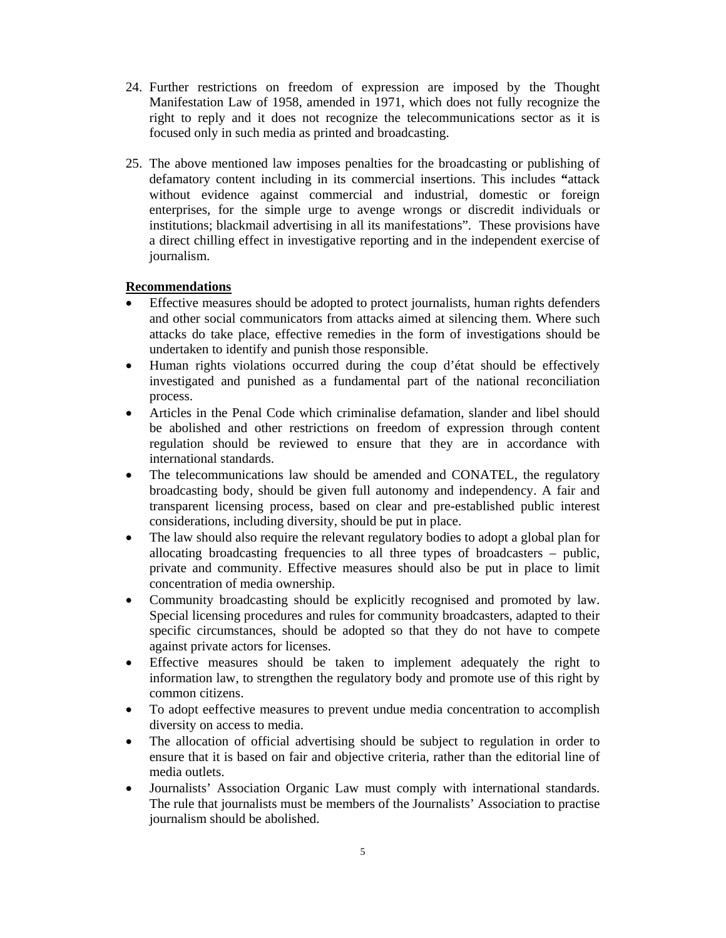- 24. Further restrictions on freedom of expression are imposed by the Thought Manifestation Law of 1958, amended in 1971, which does not fully recognize the right to reply and it does not recognize the telecommunications sector as it is focused only in such media as printed and broadcasting.
- 25. The above mentioned law imposes penalties for the broadcasting or publishing of defamatory content including in its commercial insertions. This includes **"**attack without evidence against commercial and industrial, domestic or foreign enterprises, for the simple urge to avenge wrongs or discredit individuals or institutions; blackmail advertising in all its manifestations". These provisions have a direct chilling effect in investigative reporting and in the independent exercise of journalism.

# **Recommendations**

- Effective measures should be adopted to protect journalists, human rights defenders and other social communicators from attacks aimed at silencing them. Where such attacks do take place, effective remedies in the form of investigations should be undertaken to identify and punish those responsible.
- Human rights violations occurred during the coup d'état should be effectively investigated and punished as a fundamental part of the national reconciliation process.
- Articles in the Penal Code which criminalise defamation, slander and libel should be abolished and other restrictions on freedom of expression through content regulation should be reviewed to ensure that they are in accordance with international standards.
- The telecommunications law should be amended and CONATEL, the regulatory broadcasting body, should be given full autonomy and independency. A fair and transparent licensing process, based on clear and pre-established public interest considerations, including diversity, should be put in place.
- The law should also require the relevant regulatory bodies to adopt a global plan for allocating broadcasting frequencies to all three types of broadcasters – public, private and community. Effective measures should also be put in place to limit concentration of media ownership.
- Community broadcasting should be explicitly recognised and promoted by law. Special licensing procedures and rules for community broadcasters, adapted to their specific circumstances, should be adopted so that they do not have to compete against private actors for licenses.
- Effective measures should be taken to implement adequately the right to information law, to strengthen the regulatory body and promote use of this right by common citizens.
- To adopt eeffective measures to prevent undue media concentration to accomplish diversity on access to media.
- The allocation of official advertising should be subject to regulation in order to ensure that it is based on fair and objective criteria, rather than the editorial line of media outlets.
- Journalists' Association Organic Law must comply with international standards. The rule that journalists must be members of the Journalists' Association to practise journalism should be abolished.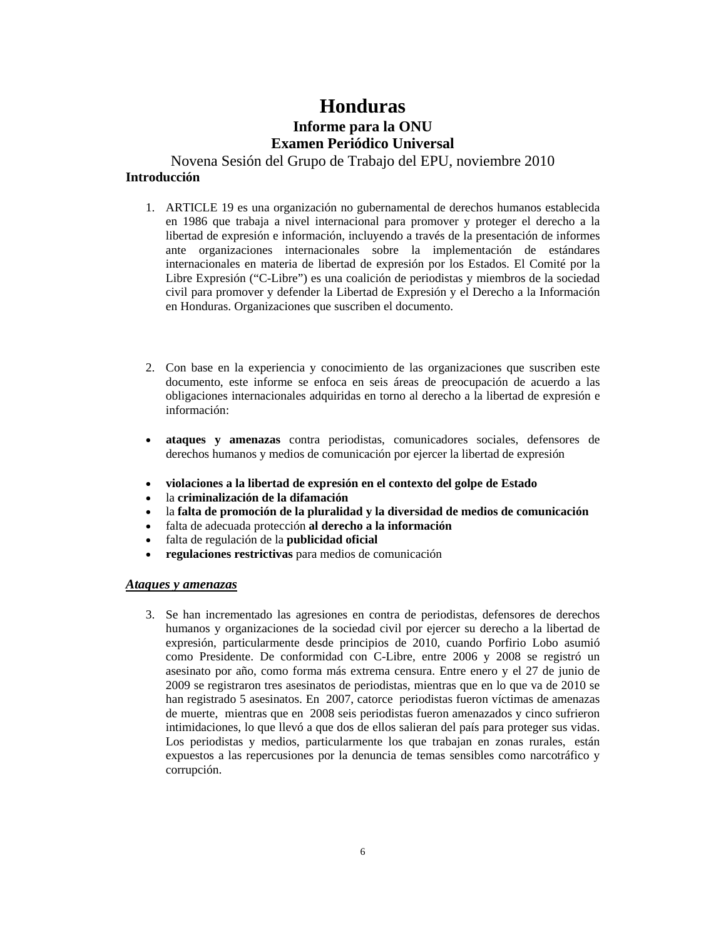# **Honduras Informe para la ONU Examen Periódico Universal**

Novena Sesión del Grupo de Trabajo del EPU, noviembre 2010 **Introducción**

- 1. ARTICLE 19 es una organización no gubernamental de derechos humanos establecida en 1986 que trabaja a nivel internacional para promover y proteger el derecho a la libertad de expresión e información, incluyendo a través de la presentación de informes ante organizaciones internacionales sobre la implementación de estándares internacionales en materia de libertad de expresión por los Estados. El Comité por la Libre Expresión ("C-Libre") es una coalición de periodistas y miembros de la sociedad civil para promover y defender la Libertad de Expresión y el Derecho a la Información en Honduras. Organizaciones que suscriben el documento.
- 2. Con base en la experiencia y conocimiento de las organizaciones que suscriben este documento, este informe se enfoca en seis áreas de preocupación de acuerdo a las obligaciones internacionales adquiridas en torno al derecho a la libertad de expresión e información:
- **ataques y amenazas** contra periodistas, comunicadores sociales, defensores de derechos humanos y medios de comunicación por ejercer la libertad de expresión
- **violaciones a la libertad de expresión en el contexto del golpe de Estado**
- la **criminalización de la difamación**
- la **falta de promoción de la pluralidad y la diversidad de medios de comunicación**
- falta de adecuada protección **al derecho a la información**
- falta de regulación de la **publicidad oficial**
- **regulaciones restrictivas** para medios de comunicación

### *Ataques y amenazas*

3. Se han incrementado las agresiones en contra de periodistas, defensores de derechos humanos y organizaciones de la sociedad civil por ejercer su derecho a la libertad de expresión, particularmente desde principios de 2010, cuando Porfirio Lobo asumió como Presidente. De conformidad con C-Libre, entre 2006 y 2008 se registró un asesinato por año, como forma más extrema censura. Entre enero y el 27 de junio de 2009 se registraron tres asesinatos de periodistas, mientras que en lo que va de 2010 se han registrado 5 asesinatos. En 2007, catorce periodistas fueron víctimas de amenazas de muerte, mientras que en 2008 seis periodistas fueron amenazados y cinco sufrieron intimidaciones, lo que llevó a que dos de ellos salieran del país para proteger sus vidas. Los periodistas y medios, particularmente los que trabajan en zonas rurales, están expuestos a las repercusiones por la denuncia de temas sensibles como narcotráfico y corrupción.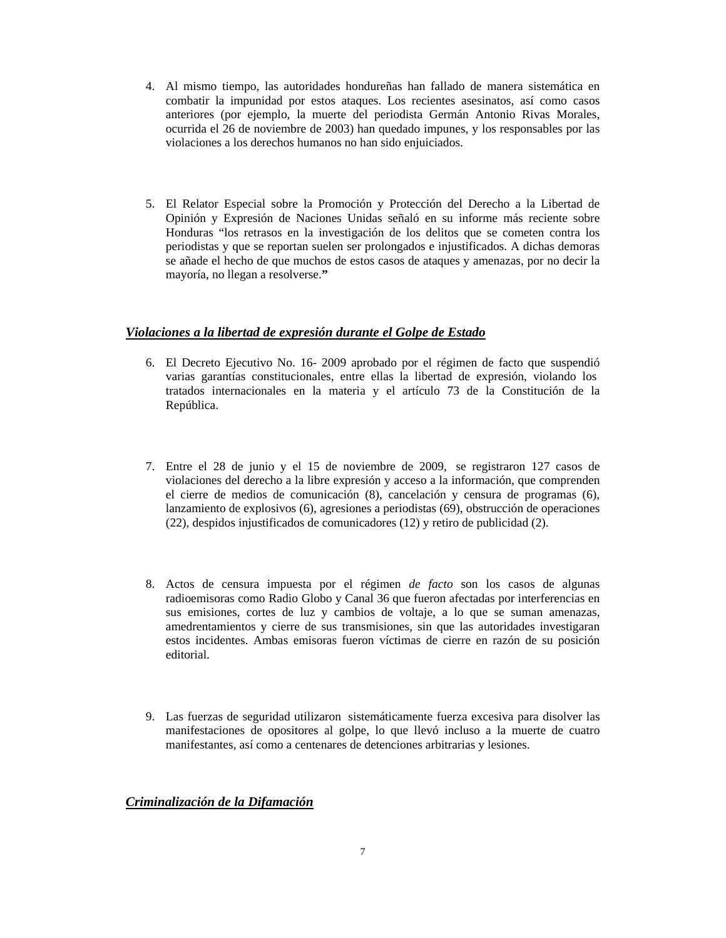- 4. Al mismo tiempo, las autoridades hondureñas han fallado de manera sistemática en combatir la impunidad por estos ataques. Los recientes asesinatos, así como casos anteriores (por ejemplo, la muerte del periodista Germán Antonio Rivas Morales, ocurrida el 26 de noviembre de 2003) han quedado impunes, y los responsables por las violaciones a los derechos humanos no han sido enjuiciados.
- 5. El Relator Especial sobre la Promoción y Protección del Derecho a la Libertad de Opinión y Expresión de Naciones Unidas señaló en su informe más reciente sobre Honduras "los retrasos en la investigación de los delitos que se cometen contra los periodistas y que se reportan suelen ser prolongados e injustificados. A dichas demoras se añade el hecho de que muchos de estos casos de ataques y amenazas, por no decir la mayoría, no llegan a resolverse.**"**

## *Violaciones a la libertad de expresión durante el Golpe de Estado*

- 6. El Decreto Ejecutivo No. 16- 2009 aprobado por el régimen de facto que suspendió varias garantías constitucionales, entre ellas la libertad de expresión, violando los tratados internacionales en la materia y el artículo 73 de la Constitución de la República.
- 7. Entre el 28 de junio y el 15 de noviembre de 2009, se registraron 127 casos de violaciones del derecho a la libre expresión y acceso a la información, que comprenden el cierre de medios de comunicación (8), cancelación y censura de programas (6), lanzamiento de explosivos (6), agresiones a periodistas (69), obstrucción de operaciones (22), despidos injustificados de comunicadores (12) y retiro de publicidad (2).
- 8. Actos de censura impuesta por el régimen *de facto* son los casos de algunas radioemisoras como Radio Globo y Canal 36 que fueron afectadas por interferencias en sus emisiones, cortes de luz y cambios de voltaje, a lo que se suman amenazas, amedrentamientos y cierre de sus transmisiones, sin que las autoridades investigaran estos incidentes. Ambas emisoras fueron víctimas de cierre en razón de su posición editorial.
- 9. Las fuerzas de seguridad utilizaron sistemáticamente fuerza excesiva para disolver las manifestaciones de opositores al golpe, lo que llevó incluso a la muerte de cuatro manifestantes, así como a centenares de detenciones arbitrarias y lesiones.

## *Criminalización de la Difamación*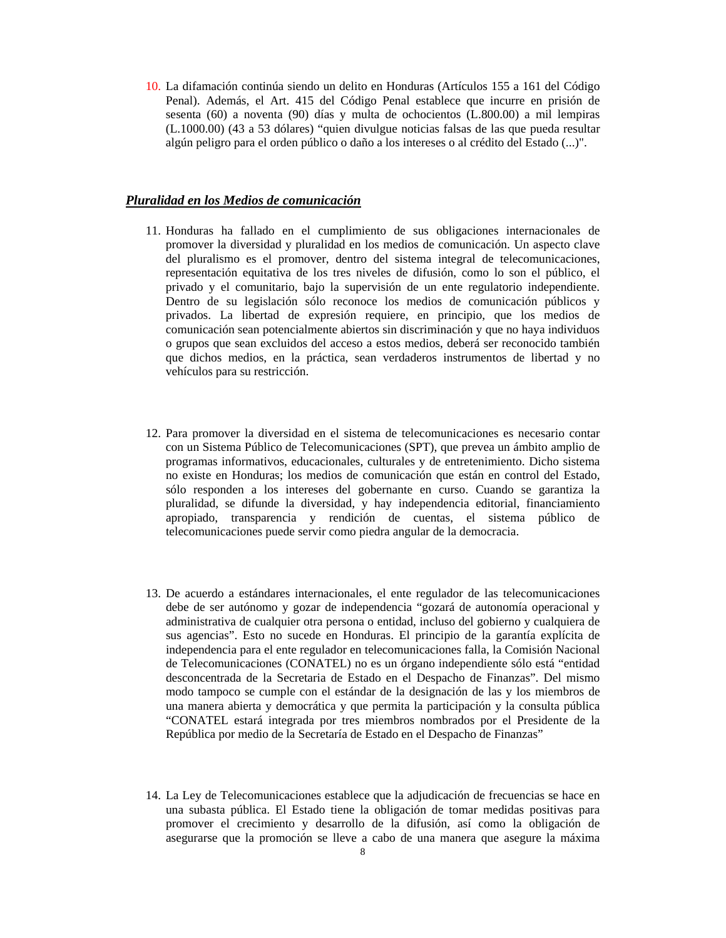10. La difamación continúa siendo un delito en Honduras (Artículos 155 a 161 del Código Penal). Además, el Art. 415 del Código Penal establece que incurre en prisión de sesenta (60) a noventa (90) días y multa de ochocientos (L.800.00) a mil lempiras (L.1000.00) (43 a 53 dólares) "quien divulgue noticias falsas de las que pueda resultar algún peligro para el orden público o daño a los intereses o al crédito del Estado (...)".

### *Pluralidad en los Medios de comunicación*

- 11. Honduras ha fallado en el cumplimiento de sus obligaciones internacionales de promover la diversidad y pluralidad en los medios de comunicación. Un aspecto clave del pluralismo es el promover, dentro del sistema integral de telecomunicaciones, representación equitativa de los tres niveles de difusión, como lo son el público, el privado y el comunitario, bajo la supervisión de un ente regulatorio independiente. Dentro de su legislación sólo reconoce los medios de comunicación públicos y privados. La libertad de expresión requiere, en principio, que los medios de comunicación sean potencialmente abiertos sin discriminación y que no haya individuos o grupos que sean excluidos del acceso a estos medios, deberá ser reconocido también que dichos medios, en la práctica, sean verdaderos instrumentos de libertad y no vehículos para su restricción.
- 12. Para promover la diversidad en el sistema de telecomunicaciones es necesario contar con un Sistema Público de Telecomunicaciones (SPT), que prevea un ámbito amplio de programas informativos, educacionales, culturales y de entretenimiento. Dicho sistema no existe en Honduras; los medios de comunicación que están en control del Estado, sólo responden a los intereses del gobernante en curso. Cuando se garantiza la pluralidad, se difunde la diversidad, y hay independencia editorial, financiamiento apropiado, transparencia y rendición de cuentas, el sistema público de telecomunicaciones puede servir como piedra angular de la democracia.
- 13. De acuerdo a estándares internacionales, el ente regulador de las telecomunicaciones debe de ser autónomo y gozar de independencia "gozará de autonomía operacional y administrativa de cualquier otra persona o entidad, incluso del gobierno y cualquiera de sus agencias". Esto no sucede en Honduras. El principio de la garantía explícita de independencia para el ente regulador en telecomunicaciones falla, la Comisión Nacional de Telecomunicaciones (CONATEL) no es un órgano independiente sólo está "entidad desconcentrada de la Secretaria de Estado en el Despacho de Finanzas". Del mismo modo tampoco se cumple con el estándar de la designación de las y los miembros de una manera abierta y democrática y que permita la participación y la consulta pública "CONATEL estará integrada por tres miembros nombrados por el Presidente de la República por medio de la Secretaría de Estado en el Despacho de Finanzas"
- 14. La Ley de Telecomunicaciones establece que la adjudicación de frecuencias se hace en una subasta pública. El Estado tiene la obligación de tomar medidas positivas para promover el crecimiento y desarrollo de la difusión, así como la obligación de asegurarse que la promoción se lleve a cabo de una manera que asegure la máxima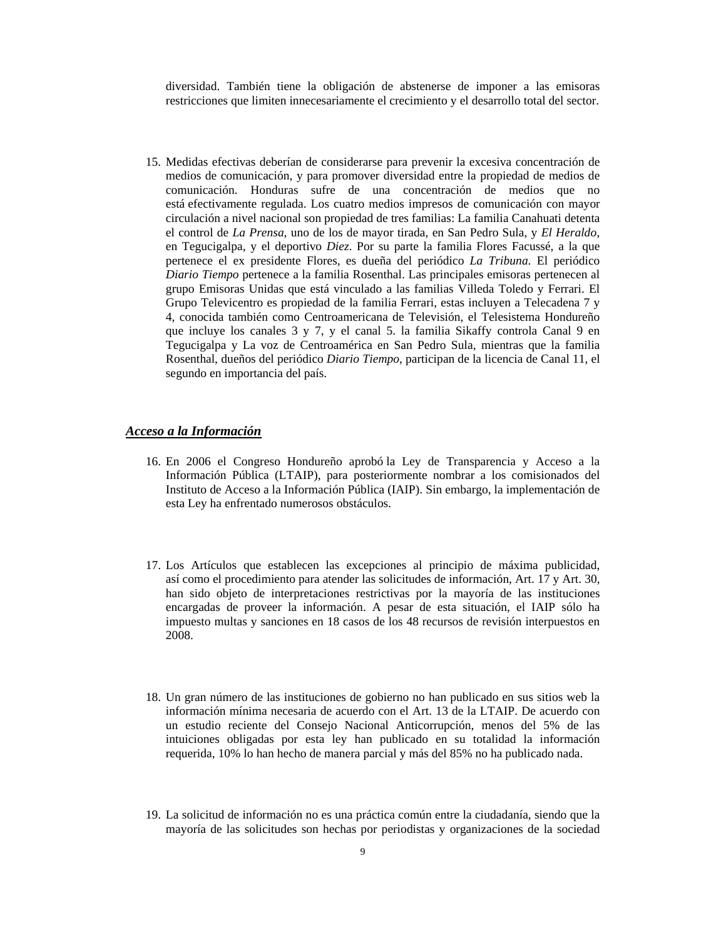diversidad. También tiene la obligación de abstenerse de imponer a las emisoras restricciones que limiten innecesariamente el crecimiento y el desarrollo total del sector.

15. Medidas efectivas deberían de considerarse para prevenir la excesiva concentración de medios de comunicación, y para promover diversidad entre la propiedad de medios de comunicación. Honduras sufre de una concentración de medios que no está efectivamente regulada. Los cuatro medios impresos de comunicación con mayor circulación a nivel nacional son propiedad de tres familias: La familia Canahuati detenta el control de *La Prensa*, uno de los de mayor tirada, en San Pedro Sula, y *El Heraldo*, en Tegucigalpa, y el deportivo *Diez*. Por su parte la familia Flores Facussé, a la que pertenece el ex presidente Flores, es dueña del periódico *La Tribuna*. El periódico *Diario Tiempo* pertenece a la familia Rosenthal. Las principales emisoras pertenecen al grupo Emisoras Unidas que está vinculado a las familias Villeda Toledo y Ferrari. El Grupo Televicentro es propiedad de la familia Ferrari, estas incluyen a Telecadena 7 y 4, conocida también como Centroamericana de Televisión, el Telesistema Hondureño que incluye los canales 3 y 7, y el canal 5. la familia Sikaffy controla Canal 9 en Tegucigalpa y La voz de Centroamérica en San Pedro Sula, mientras que la familia Rosenthal, dueños del periódico *Diario Tiempo*, participan de la licencia de Canal 11, el segundo en importancia del país.

### *Acceso a la Información*

- 16. En 2006 el Congreso Hondureño aprobó la Ley de Transparencia y Acceso a la Información Pública (LTAIP), para posteriormente nombrar a los comisionados del Instituto de Acceso a la Información Pública (IAIP). Sin embargo, la implementación de esta Ley ha enfrentado numerosos obstáculos.
- 17. Los Artículos que establecen las excepciones al principio de máxima publicidad, así como el procedimiento para atender las solicitudes de información, Art. 17 y Art. 30, han sido objeto de interpretaciones restrictivas por la mayoría de las instituciones encargadas de proveer la información. A pesar de esta situación, el IAIP sólo ha impuesto multas y sanciones en 18 casos de los 48 recursos de revisión interpuestos en 2008.
- 18. Un gran número de las instituciones de gobierno no han publicado en sus sitios web la información mínima necesaria de acuerdo con el Art. 13 de la LTAIP. De acuerdo con un estudio reciente del Consejo Nacional Anticorrupción, menos del 5% de las intuiciones obligadas por esta ley han publicado en su totalidad la información requerida, 10% lo han hecho de manera parcial y más del 85% no ha publicado nada.
- 19. La solicitud de información no es una práctica común entre la ciudadanía, siendo que la mayoría de las solicitudes son hechas por periodistas y organizaciones de la sociedad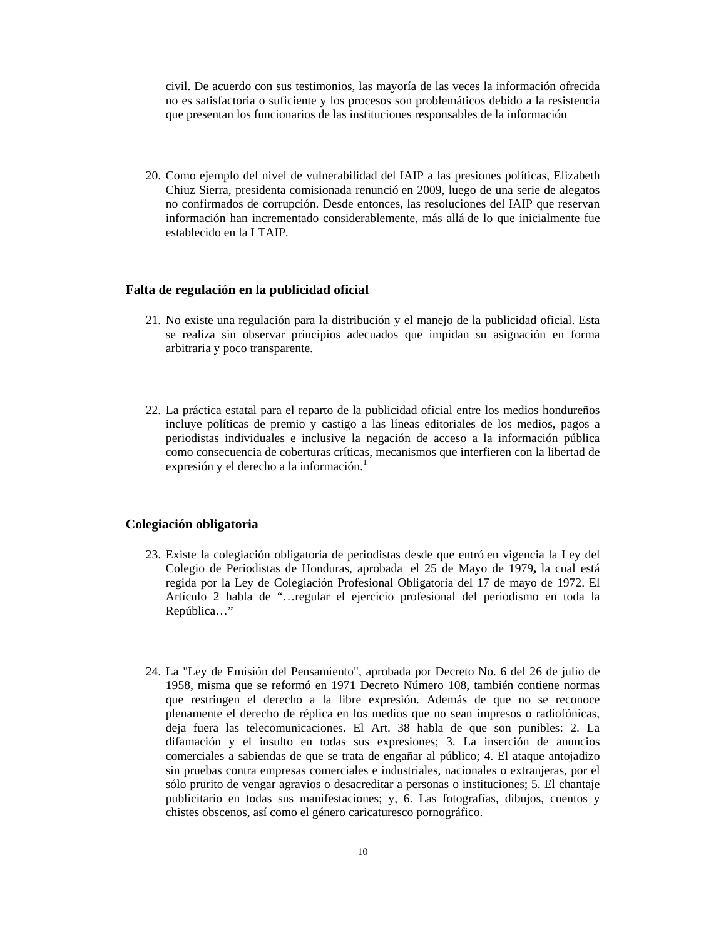civil. De acuerdo con sus testimonios, las mayoría de las veces la información ofrecida no es satisfactoria o suficiente y los procesos son problemáticos debido a la resistencia que presentan los funcionarios de las instituciones responsables de la información

20. Como ejemplo del nivel de vulnerabilidad del IAIP a las presiones políticas, Elizabeth Chiuz Sierra, presidenta comisionada renunció en 2009, luego de una serie de alegatos no confirmados de corrupción. Desde entonces, las resoluciones del IAIP que reservan información han incrementado considerablemente, más allá de lo que inicialmente fue establecido en la LTAIP.

### **Falta de regulación en la publicidad oficial**

- 21. No existe una regulación para la distribución y el manejo de la publicidad oficial. Esta se realiza sin observar principios adecuados que impidan su asignación en forma arbitraria y poco transparente.
- 22. La práctica estatal para el reparto de la publicidad oficial entre los medios hondureños incluye políticas de premio y castigo a las líneas editoriales de los medios, pagos a periodistas individuales e inclusive la negación de acceso a la información pública como consecuencia de coberturas críticas, mecanismos que interfieren con la libertad de expresión y el derecho a la información.<sup>1</sup>

### **Colegiación obligatoria**

- 23. Existe la colegiación obligatoria de periodistas desde que entró en vigencia la Ley del Colegio de Periodistas de Honduras, aprobada el 25 de Mayo de 1979**,** la cual está regida por la Ley de Colegiación Profesional Obligatoria del 17 de mayo de 1972. El Artículo 2 habla de "…regular el ejercicio profesional del periodismo en toda la República…"
- 24. La "Ley de Emisión del Pensamiento", aprobada por Decreto No. 6 del 26 de julio de 1958, misma que se reformó en 1971 Decreto Número 108, también contiene normas que restringen el derecho a la libre expresión. Además de que no se reconoce plenamente el derecho de réplica en los medios que no sean impresos o radiofónicas, deja fuera las telecomunicaciones. El Art. 38 habla de que son punibles: 2. La difamación y el insulto en todas sus expresiones; 3. La inserción de anuncios comerciales a sabiendas de que se trata de engañar al público; 4. El ataque antojadizo sin pruebas contra empresas comerciales e industriales, nacionales o extranjeras, por el sólo prurito de vengar agravios o desacreditar a personas o instituciones; 5. El chantaje publicitario en todas sus manifestaciones; y, 6. Las fotografías, dibujos, cuentos y chistes obscenos, así como el género caricaturesco pornográfico.